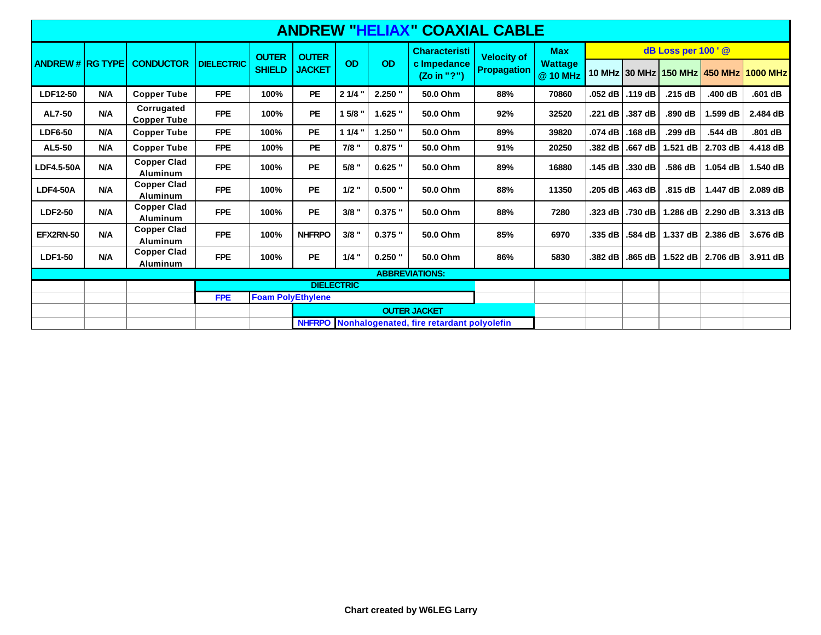| <b>ANDREW "HELIAX" COAXIAL CABLE</b> |            |                                       |                   |                               |                               |           |           |                                                    |                                          |                            |                    |         |            |                   |                                        |
|--------------------------------------|------------|---------------------------------------|-------------------|-------------------------------|-------------------------------|-----------|-----------|----------------------------------------------------|------------------------------------------|----------------------------|--------------------|---------|------------|-------------------|----------------------------------------|
| <b>ANDREW # RG TYPE</b>              |            | <b>CONDUCTOR</b>                      | <b>DIELECTRIC</b> | <b>OUTER</b><br><b>SHIELD</b> | <b>OUTER</b><br><b>JACKET</b> | <b>OD</b> | OD        | <b>Characteristi</b><br>c Impedance<br>(Zo in "?") | <b>Velocity of</b><br><b>Propagation</b> | <b>Max</b>                 | dB Loss per 100' @ |         |            |                   |                                        |
|                                      |            |                                       |                   |                               |                               |           |           |                                                    |                                          | <b>Wattage</b><br>@ 10 MHz |                    |         |            |                   | 10 MHz 30 MHz 150 MHz 450 MHz 1000 MHz |
| LDF12-50                             | <b>N/A</b> | <b>Copper Tube</b>                    | <b>FPE</b>        | 100%                          | <b>PE</b>                     | $21/4$ "  | $2.250$ " | 50.0 Ohm                                           | 88%                                      | 70860                      | .052 dB            | .119dB  | .215 dB    | .400 dB           | .601 dB                                |
| <b>AL7-50</b>                        | N/A        | Corrugated<br><b>Copper Tube</b>      | <b>FPE</b>        | 100%                          | <b>PE</b>                     | 1 5/8 "   | $1.625$ " | 50.0 Ohm                                           | 92%                                      | 32520                      | .221 dB            | .387 dB | .890 dB    | 1.599 dB          | 2.484 dB                               |
| <b>LDF6-50</b>                       | <b>N/A</b> | <b>Copper Tube</b>                    | <b>FPE</b>        | 100%                          | <b>PE</b>                     | 11/4      | $1.250$ " | 50.0 Ohm                                           | 89%                                      | 39820                      | .074 dB            | .168dB  | .299 dB    | .544 dB           | .801dB                                 |
| AL5-50                               | <b>N/A</b> | <b>Copper Tube</b>                    | <b>FPE</b>        | 100%                          | <b>PE</b>                     | $7/8$ "   | $0.875$ " | 50.0 Ohm                                           | 91%                                      | 20250                      | .382 dB            | .667 dB | 1.521 dB   | 2.703 dB          | 4.418 dB                               |
| LDF4.5-50A                           | N/A        | <b>Copper Clad</b><br>Aluminum        | <b>FPE</b>        | 100%                          | <b>PE</b>                     | $5/8$ "   | $0.625$ " | 50.0 Ohm                                           | 89%                                      | 16880                      | .145dB             | .330 dB | .586 dB    | 1.054 dB          | 1.540 dB                               |
| <b>LDF4-50A</b>                      | N/A        | <b>Copper Clad</b><br><b>Aluminum</b> | <b>FPE</b>        | 100%                          | <b>PE</b>                     | $1/2$ "   | $0.500$ " | 50.0 Ohm                                           | 88%                                      | 11350                      | .205 dB            | .463 dB | .815dB     | 1.447 dB          | 2.089 dB                               |
| <b>LDF2-50</b>                       | N/A        | <b>Copper Clad</b><br><b>Aluminum</b> | <b>FPE</b>        | 100%                          | <b>PE</b>                     | $3/8$ "   | $0.375$ " | 50.0 Ohm                                           | 88%                                      | 7280                       | .323 dB            | .730 dB |            | 1.286 dB 2.290 dB | 3.313 dB                               |
| EFX2RN-50                            | <b>N/A</b> | <b>Copper Clad</b><br><b>Aluminum</b> | <b>FPE</b>        | 100%                          | <b>NHFRPO</b>                 | $3/8$ "   | $0.375$ " | 50.0 Ohm                                           | 85%                                      | 6970                       | .335 dB            | .584 dB | $1.337$ dB | 2.386 dB          | 3.676 dB                               |
| <b>LDF1-50</b>                       | <b>N/A</b> | <b>Copper Clad</b><br>Aluminum        | <b>FPE</b>        | 100%                          | <b>PE</b>                     | $1/4$ "   | $0.250$ " | 50.0 Ohm                                           | 86%                                      | 5830                       | .382 dB            | .865 dB |            | 1.522 dB 2.706 dB | 3.911 dB                               |
| <b>ABBREVIATIONS:</b>                |            |                                       |                   |                               |                               |           |           |                                                    |                                          |                            |                    |         |            |                   |                                        |
|                                      |            |                                       |                   | <b>DIELECTRIC</b>             |                               |           |           |                                                    |                                          |                            |                    |         |            |                   |                                        |
|                                      |            |                                       | <b>FPE</b>        |                               | <b>Foam PolyEthylene</b>      |           |           |                                                    |                                          |                            |                    |         |            |                   |                                        |
|                                      |            |                                       |                   |                               | <b>OUTER JACKET</b>           |           |           |                                                    |                                          |                            |                    |         |            |                   |                                        |
|                                      |            |                                       |                   |                               |                               |           |           | NHFRPO Nonhalogenated, fire retardant polyolefin   |                                          |                            |                    |         |            |                   |                                        |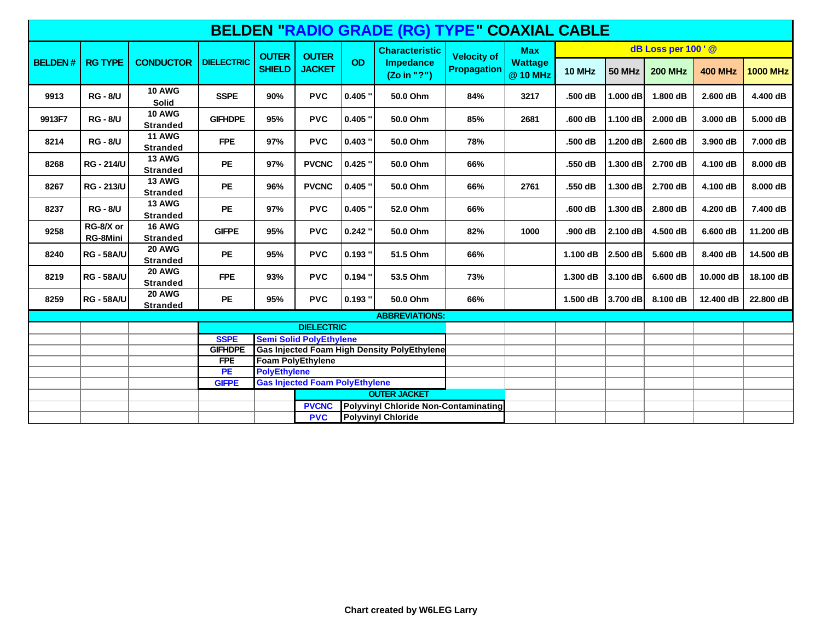| <b>BELDEN "RADIO GRADE (RG) TYPE" COAXIAL CABLE</b> |                       |                                  |                   |                               |                                       |           |                                                    |                                   |                                          |                    |               |                |                |                 |  |
|-----------------------------------------------------|-----------------------|----------------------------------|-------------------|-------------------------------|---------------------------------------|-----------|----------------------------------------------------|-----------------------------------|------------------------------------------|--------------------|---------------|----------------|----------------|-----------------|--|
|                                                     | <b>RG TYPE</b>        | <b>CONDUCTOR</b>                 | <b>DIELECTRIC</b> | <b>OUTER</b><br><b>SHIELD</b> | <b>OUTER</b><br><b>JACKET</b>         | <b>OD</b> | <b>Characteristic</b><br>Impedance<br>(Zo in "?")  | <b>Velocity of</b><br>Propagation | <b>Max</b><br><b>Wattage</b><br>@ 10 MHz | dB Loss per 100' @ |               |                |                |                 |  |
| <b>BELDEN#</b>                                      |                       |                                  |                   |                               |                                       |           |                                                    |                                   |                                          | 10 MHz             | <b>50 MHz</b> | <b>200 MHz</b> | <b>400 MHz</b> | <b>1000 MHz</b> |  |
| 9913                                                | <b>RG - 8/U</b>       | <b>10 AWG</b><br><b>Solid</b>    | <b>SSPE</b>       | 90%                           | <b>PVC</b>                            | $0.405$ " | 50.0 Ohm                                           | 84%                               | 3217                                     | .500 dB            | 1.000 dB      | 1.800 dB       | 2.600 dB       | 4.400 dB        |  |
| 9913F7                                              | <b>RG - 8/U</b>       | <b>10 AWG</b><br><b>Stranded</b> | <b>GIFHDPE</b>    | 95%                           | <b>PVC</b>                            | $0.405$ " | 50.0 Ohm                                           | 85%                               | 2681                                     | .600 dB            | 1.100 dB      | 2.000 dB       | 3.000 dB       | 5.000 dB        |  |
| 8214                                                | <b>RG - 8/U</b>       | <b>11 AWG</b><br><b>Stranded</b> | <b>FPE</b>        | 97%                           | <b>PVC</b>                            | $0.403$ " | 50.0 Ohm                                           | 78%                               |                                          | .500 dB            | 1.200 dB      | 2.600 dB       | 3.900 dB       | 7.000 dB        |  |
| 8268                                                | <b>RG - 214/U</b>     | <b>13 AWG</b><br><b>Stranded</b> | <b>PE</b>         | 97%                           | <b>PVCNC</b>                          | $0.425$ " | 50.0 Ohm                                           | 66%                               |                                          | .550 dB            | 1.300 dB      | 2.700 dB       | 4.100 dB       | 8.000 dB        |  |
| 8267                                                | <b>RG - 213/U</b>     | <b>13 AWG</b><br><b>Stranded</b> | <b>PE</b>         | 96%                           | <b>PVCNC</b>                          | $0.405$ " | 50.0 Ohm                                           | 66%                               | 2761                                     | .550 dB            | 1.300 dB      | 2.700 dB       | 4.100 dB       | 8.000 dB        |  |
| 8237                                                | <b>RG - 8/U</b>       | <b>13 AWG</b><br><b>Stranded</b> | <b>PE</b>         | 97%                           | <b>PVC</b>                            | $0.405$ " | 52.0 Ohm                                           | 66%                               |                                          | .600 dB            | 1.300 dB      | 2.800 dB       | 4.200 dB       | 7.400 dB        |  |
| 9258                                                | RG-8/X or<br>RG-8Mini | <b>16 AWG</b><br><b>Stranded</b> | <b>GIFPE</b>      | 95%                           | <b>PVC</b>                            | $0.242$ " | 50.0 Ohm                                           | 82%                               | 1000                                     | .900 dB            | $2.100$ dB    | 4.500 dB       | 6.600 dB       | 11.200 dB       |  |
| 8240                                                | <b>RG - 58A/U</b>     | <b>20 AWG</b><br><b>Stranded</b> | <b>PE</b>         | 95%                           | <b>PVC</b>                            | $0.193$ " | 51.5 Ohm                                           | 66%                               |                                          | 1.100 dB           | 2.500 dB      | 5.600 dB       | 8.400 dB       | 14.500 dB       |  |
| 8219                                                | <b>RG - 58A/U</b>     | <b>20 AWG</b><br><b>Stranded</b> | <b>FPE</b>        | 93%                           | <b>PVC</b>                            | $0.194$ " | 53.5 Ohm                                           | 73%                               |                                          | 1.300 dB           | 3.100 dB      | 6.600 dB       | 10.000 dB      | 18.100 dB       |  |
| 8259                                                | <b>RG - 58A/U</b>     | <b>20 AWG</b><br><b>Stranded</b> | PE                | 95%                           | <b>PVC</b>                            | $0.193$ " | 50.0 Ohm                                           | 66%                               |                                          | 1.500 dB           | 3.700 dB      | 8.100 dB       | 12.400 dB      | 22.800 dB       |  |
|                                                     |                       |                                  |                   |                               |                                       |           | <b>ABBREVIATIONS:</b>                              |                                   |                                          |                    |               |                |                |                 |  |
|                                                     |                       |                                  |                   |                               | <b>DIELECTRIC</b>                     |           |                                                    |                                   |                                          |                    |               |                |                |                 |  |
|                                                     |                       |                                  | <b>SSPE</b>       |                               | <b>Semi Solid PolyEthylene</b>        |           |                                                    |                                   |                                          |                    |               |                |                |                 |  |
|                                                     |                       |                                  | <b>GIFHDPE</b>    |                               |                                       |           | <b>Gas Injected Foam High Density PolyEthylene</b> |                                   |                                          |                    |               |                |                |                 |  |
|                                                     |                       |                                  | <b>FPE</b>        |                               | <b>Foam PolyEthylene</b>              |           |                                                    |                                   |                                          |                    |               |                |                |                 |  |
|                                                     |                       |                                  | PE                | <b>PolyEthylene</b>           |                                       |           |                                                    |                                   |                                          |                    |               |                |                |                 |  |
|                                                     |                       |                                  | <b>GIFPE</b>      |                               | <b>Gas Injected Foam PolyEthylene</b> |           |                                                    |                                   |                                          |                    |               |                |                |                 |  |
|                                                     |                       |                                  |                   |                               |                                       |           | <b>OUTER JACKET</b>                                |                                   |                                          |                    |               |                |                |                 |  |
|                                                     |                       |                                  |                   |                               | <b>PVCNC</b>                          |           | <b>Polyvinyl Chloride Non-Contaminating</b>        |                                   |                                          |                    |               |                |                |                 |  |
|                                                     |                       |                                  |                   |                               | <b>PVC</b>                            |           | <b>Polyvinyl Chloride</b>                          |                                   |                                          |                    |               |                |                |                 |  |